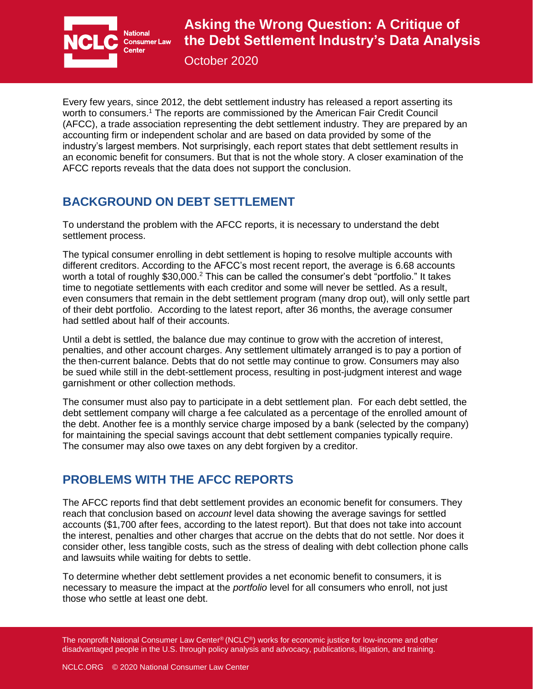

October 2020

Every few years, since 2012, the debt settlement industry has released a report asserting its worth to consumers.<sup>1</sup> The reports are commissioned by the American Fair Credit Council (AFCC), a trade association representing the debt settlement industry. They are prepared by an accounting firm or independent scholar and are based on data provided by some of the industry's largest members. Not surprisingly, each report states that debt settlement results in an economic benefit for consumers. But that is not the whole story. A closer examination of the AFCC reports reveals that the data does not support the conclusion.

## **BACKGROUND ON DEBT SETTLEMENT**

To understand the problem with the AFCC reports, it is necessary to understand the debt settlement process.

The typical consumer enrolling in debt settlement is hoping to resolve multiple accounts with different creditors. According to the AFCC's most recent report, the average is 6.68 accounts worth a total of roughly \$30,000.<sup>2</sup> This can be called the consumer's debt "portfolio." It takes time to negotiate settlements with each creditor and some will never be settled. As a result, even consumers that remain in the debt settlement program (many drop out), will only settle part of their debt portfolio. According to the latest report, after 36 months, the average consumer had settled about half of their accounts.

Until a debt is settled, the balance due may continue to grow with the accretion of interest, penalties, and other account charges. Any settlement ultimately arranged is to pay a portion of the then-current balance. Debts that do not settle may continue to grow. Consumers may also be sued while still in the debt-settlement process, resulting in post-judgment interest and wage garnishment or other collection methods.

The consumer must also pay to participate in a debt settlement plan. For each debt settled, the debt settlement company will charge a fee calculated as a percentage of the enrolled amount of the debt. Another fee is a monthly service charge imposed by a bank (selected by the company) for maintaining the special savings account that debt settlement companies typically require. The consumer may also owe taxes on any debt forgiven by a creditor.

## **PROBLEMS WITH THE AFCC REPORTS**

The AFCC reports find that debt settlement provides an economic benefit for consumers. They reach that conclusion based on *account* level data showing the average savings for settled accounts (\$1,700 after fees, according to the latest report). But that does not take into account the interest, penalties and other charges that accrue on the debts that do not settle. Nor does it consider other, less tangible costs, such as the stress of dealing with debt collection phone calls and lawsuits while waiting for debts to settle.

To determine whether debt settlement provides a net economic benefit to consumers, it is necessary to measure the impact at the *portfolio* level for all consumers who enroll, not just those who settle at least one debt.

The nonprofit National Consumer Law Center<sup>®</sup> (NCLC<sup>®</sup>) works for economic justice for low-income and other disadvantaged people in the U.S. through policy analysis and advocacy, publications, litigation, and training.